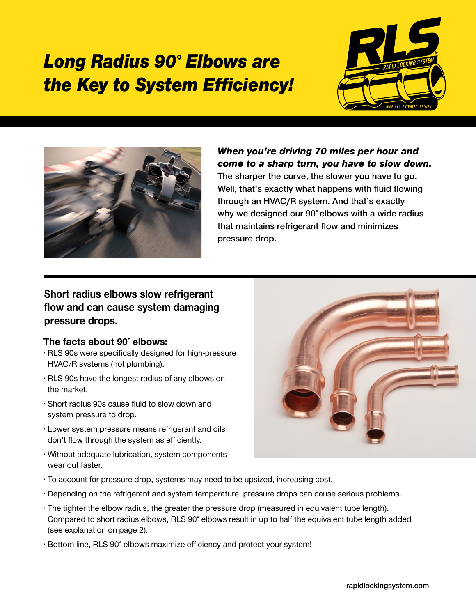## Long Radius 90˚ Elbows are the Key to System Efficiency!





When you're driving 70 miles per hour and come to a sharp turn, you have to slow down. The sharper the curve, the slower you have to go. Well, that's exactly what happens with fluid flowing through an HVAC/R system. And that's exactly why we designed our 90° elbows with a wide radius that maintains refrigerant flow and minimizes pressure drop.

## Short radius elbows slow refrigerant flow and can cause system damaging pressure drops.

## The facts about 90˚ elbows:

- RLS 90s were specifically designed for high-pressure HVAC/R systems (not plumbing).
- RLS 90s have the longest radius of any elbows on the market.
- Short radius 90s cause fluid to slow down and system pressure to drop.
- Lower system pressure means refrigerant and oils don't flow through the system as efficiently.
- Without adequate lubrication, system components wear out faster.
- To account for pressure drop, systems may need to be upsized, increasing cost.
- Depending on the refrigerant and system temperature, pressure drops can cause serious problems.
- The tighter the elbow radius, the greater the pressure drop (measured in equivalent tube length). Compared to short radius elbows, RLS 90˚ elbows result in up to half the equivalent tube length added (see explanation on page 2).
- Bottom line, RLS 90˚ elbows maximize efficiency and protect your system!